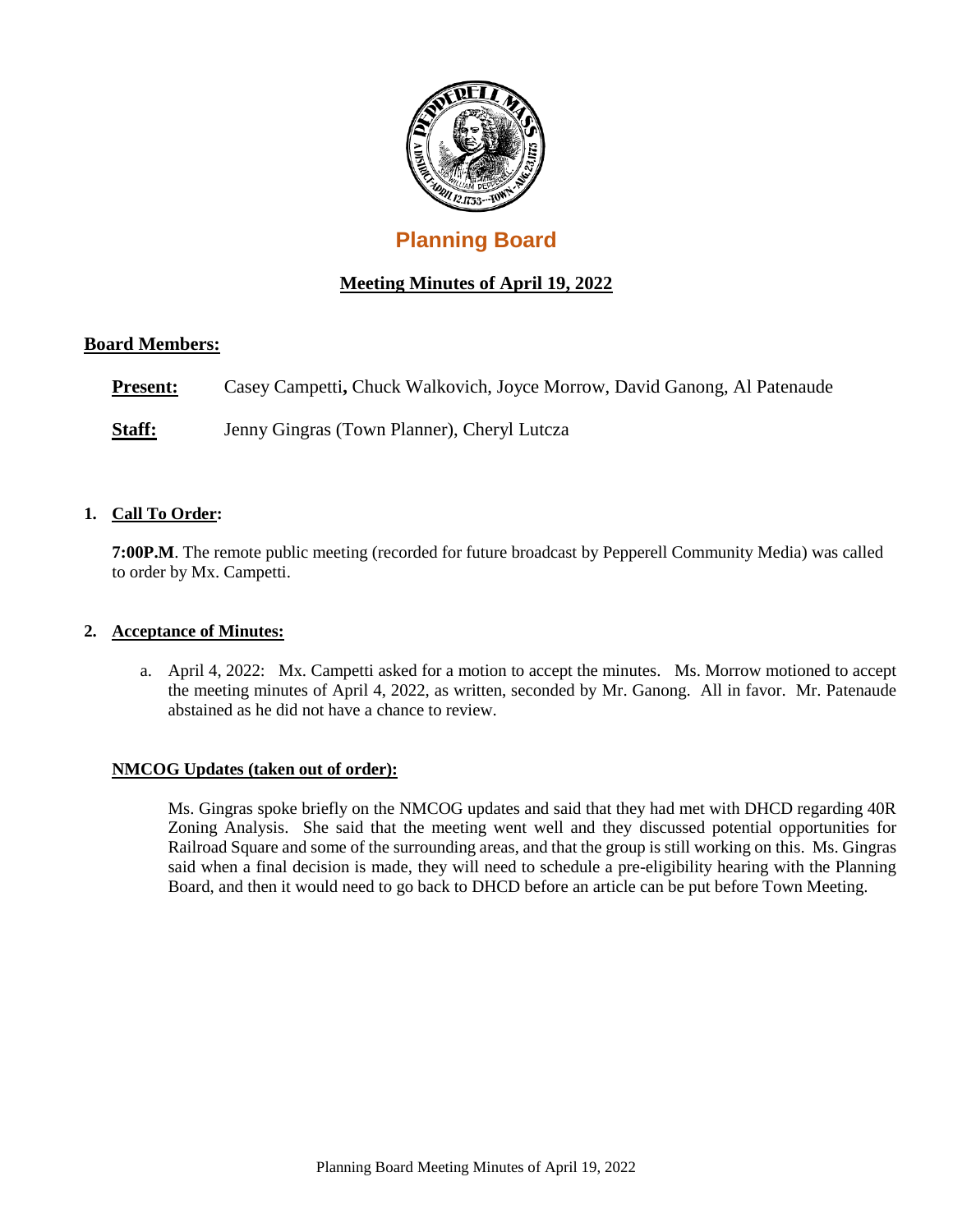

# **Planning Board**

## **Meeting Minutes of April 19, 2022**

## **Board Members:**

**Present:** Casey Campetti, Chuck Walkovich, Joyce Morrow, David Ganong, Al Patenaude

**Staff:** Jenny Gingras (Town Planner), Cheryl Lutcza

## **1. Call To Order:**

**7:00P.M**. The remote public meeting (recorded for future broadcast by Pepperell Community Media) was called to order by Mx. Campetti.

## **2. Acceptance of Minutes:**

a. April 4, 2022: Mx. Campetti asked for a motion to accept the minutes. Ms. Morrow motioned to accept the meeting minutes of April 4, 2022, as written, seconded by Mr. Ganong. All in favor. Mr. Patenaude abstained as he did not have a chance to review.

## **NMCOG Updates (taken out of order):**

Ms. Gingras spoke briefly on the NMCOG updates and said that they had met with DHCD regarding 40R Zoning Analysis. She said that the meeting went well and they discussed potential opportunities for Railroad Square and some of the surrounding areas, and that the group is still working on this. Ms. Gingras said when a final decision is made, they will need to schedule a pre-eligibility hearing with the Planning Board, and then it would need to go back to DHCD before an article can be put before Town Meeting.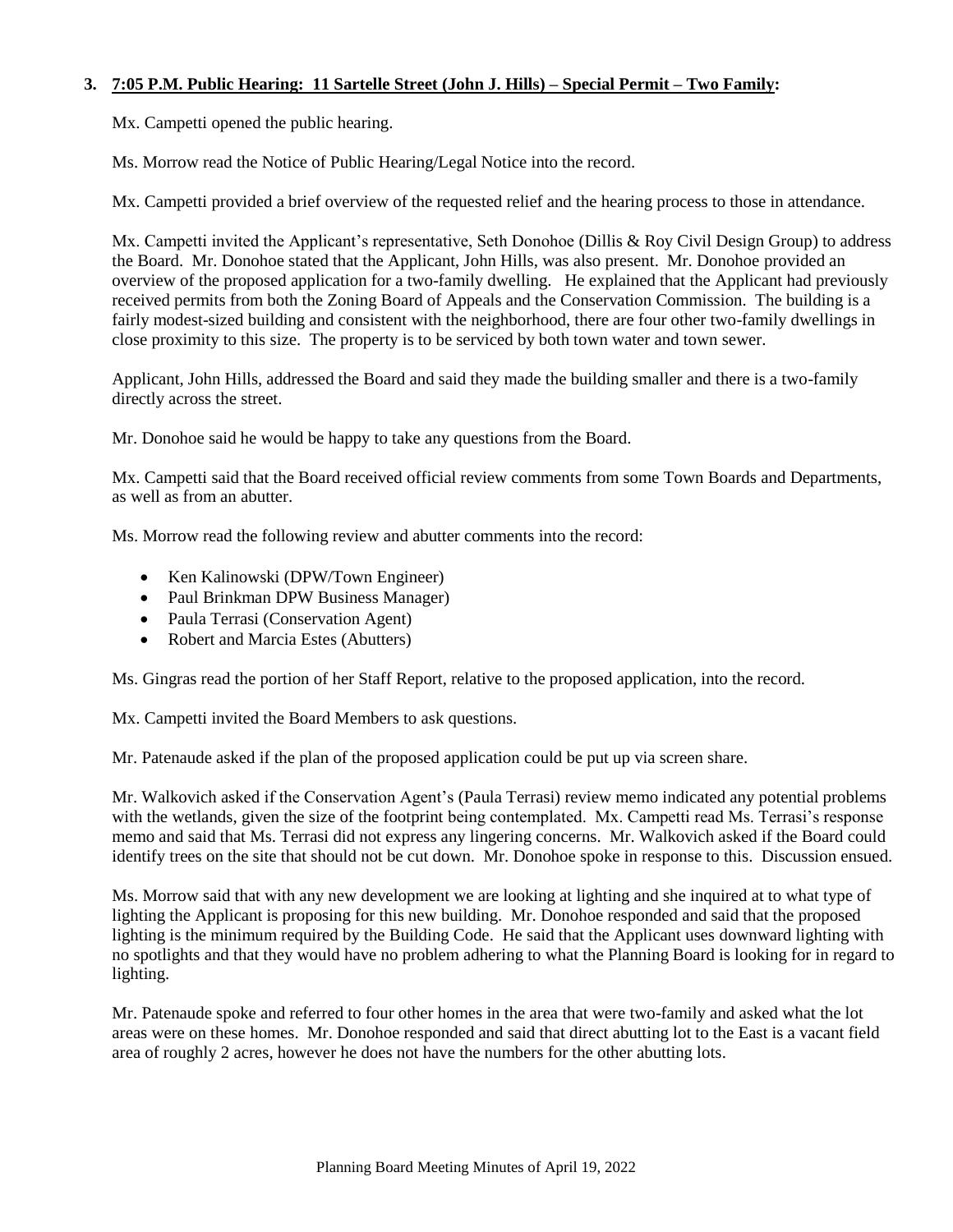## **3. 7:05 P.M. Public Hearing: 11 Sartelle Street (John J. Hills) – Special Permit – Two Family:**

Mx. Campetti opened the public hearing.

Ms. Morrow read the Notice of Public Hearing/Legal Notice into the record.

Mx. Campetti provided a brief overview of the requested relief and the hearing process to those in attendance.

Mx. Campetti invited the Applicant's representative, Seth Donohoe (Dillis & Roy Civil Design Group) to address the Board. Mr. Donohoe stated that the Applicant, John Hills, was also present. Mr. Donohoe provided an overview of the proposed application for a two-family dwelling. He explained that the Applicant had previously received permits from both the Zoning Board of Appeals and the Conservation Commission. The building is a fairly modest-sized building and consistent with the neighborhood, there are four other two-family dwellings in close proximity to this size. The property is to be serviced by both town water and town sewer.

Applicant, John Hills, addressed the Board and said they made the building smaller and there is a two-family directly across the street.

Mr. Donohoe said he would be happy to take any questions from the Board.

Mx. Campetti said that the Board received official review comments from some Town Boards and Departments, as well as from an abutter.

Ms. Morrow read the following review and abutter comments into the record:

- Ken Kalinowski (DPW/Town Engineer)
- Paul Brinkman DPW Business Manager)
- Paula Terrasi (Conservation Agent)
- Robert and Marcia Estes (Abutters)

Ms. Gingras read the portion of her Staff Report, relative to the proposed application, into the record.

Mx. Campetti invited the Board Members to ask questions.

Mr. Patenaude asked if the plan of the proposed application could be put up via screen share.

Mr. Walkovich asked if the Conservation Agent's (Paula Terrasi) review memo indicated any potential problems with the wetlands, given the size of the footprint being contemplated. Mx. Campetti read Ms. Terrasi's response memo and said that Ms. Terrasi did not express any lingering concerns. Mr. Walkovich asked if the Board could identify trees on the site that should not be cut down. Mr. Donohoe spoke in response to this. Discussion ensued.

Ms. Morrow said that with any new development we are looking at lighting and she inquired at to what type of lighting the Applicant is proposing for this new building. Mr. Donohoe responded and said that the proposed lighting is the minimum required by the Building Code. He said that the Applicant uses downward lighting with no spotlights and that they would have no problem adhering to what the Planning Board is looking for in regard to lighting.

Mr. Patenaude spoke and referred to four other homes in the area that were two-family and asked what the lot areas were on these homes. Mr. Donohoe responded and said that direct abutting lot to the East is a vacant field area of roughly 2 acres, however he does not have the numbers for the other abutting lots.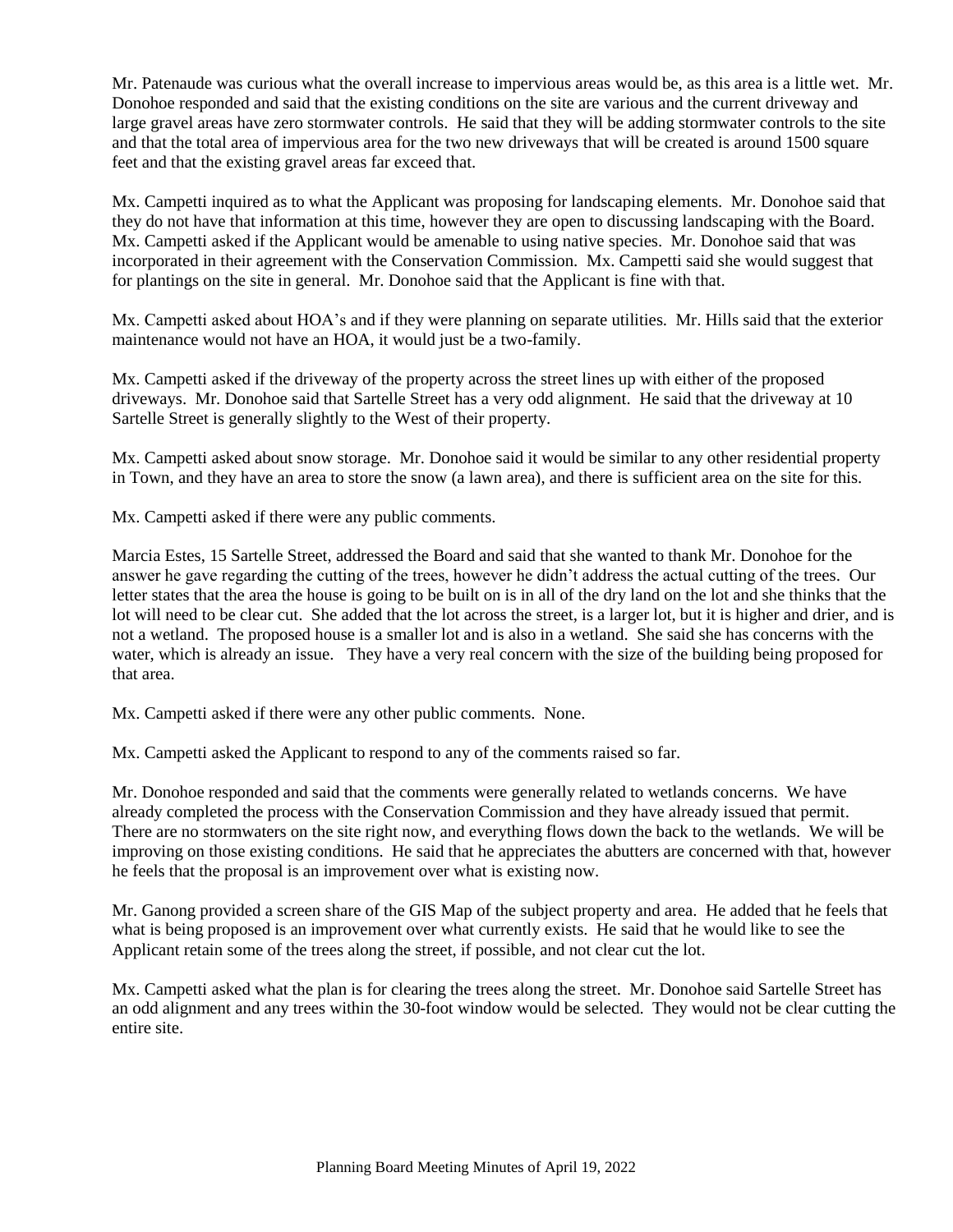Mr. Patenaude was curious what the overall increase to impervious areas would be, as this area is a little wet. Mr. Donohoe responded and said that the existing conditions on the site are various and the current driveway and large gravel areas have zero stormwater controls. He said that they will be adding stormwater controls to the site and that the total area of impervious area for the two new driveways that will be created is around 1500 square feet and that the existing gravel areas far exceed that.

Mx. Campetti inquired as to what the Applicant was proposing for landscaping elements. Mr. Donohoe said that they do not have that information at this time, however they are open to discussing landscaping with the Board. Mx. Campetti asked if the Applicant would be amenable to using native species. Mr. Donohoe said that was incorporated in their agreement with the Conservation Commission. Mx. Campetti said she would suggest that for plantings on the site in general. Mr. Donohoe said that the Applicant is fine with that.

Mx. Campetti asked about HOA's and if they were planning on separate utilities. Mr. Hills said that the exterior maintenance would not have an HOA, it would just be a two-family.

Mx. Campetti asked if the driveway of the property across the street lines up with either of the proposed driveways. Mr. Donohoe said that Sartelle Street has a very odd alignment. He said that the driveway at 10 Sartelle Street is generally slightly to the West of their property.

Mx. Campetti asked about snow storage. Mr. Donohoe said it would be similar to any other residential property in Town, and they have an area to store the snow (a lawn area), and there is sufficient area on the site for this.

Mx. Campetti asked if there were any public comments.

Marcia Estes, 15 Sartelle Street, addressed the Board and said that she wanted to thank Mr. Donohoe for the answer he gave regarding the cutting of the trees, however he didn't address the actual cutting of the trees. Our letter states that the area the house is going to be built on is in all of the dry land on the lot and she thinks that the lot will need to be clear cut. She added that the lot across the street, is a larger lot, but it is higher and drier, and is not a wetland. The proposed house is a smaller lot and is also in a wetland. She said she has concerns with the water, which is already an issue. They have a very real concern with the size of the building being proposed for that area.

Mx. Campetti asked if there were any other public comments. None.

Mx. Campetti asked the Applicant to respond to any of the comments raised so far.

Mr. Donohoe responded and said that the comments were generally related to wetlands concerns. We have already completed the process with the Conservation Commission and they have already issued that permit. There are no stormwaters on the site right now, and everything flows down the back to the wetlands. We will be improving on those existing conditions. He said that he appreciates the abutters are concerned with that, however he feels that the proposal is an improvement over what is existing now.

Mr. Ganong provided a screen share of the GIS Map of the subject property and area. He added that he feels that what is being proposed is an improvement over what currently exists. He said that he would like to see the Applicant retain some of the trees along the street, if possible, and not clear cut the lot.

Mx. Campetti asked what the plan is for clearing the trees along the street. Mr. Donohoe said Sartelle Street has an odd alignment and any trees within the 30-foot window would be selected. They would not be clear cutting the entire site.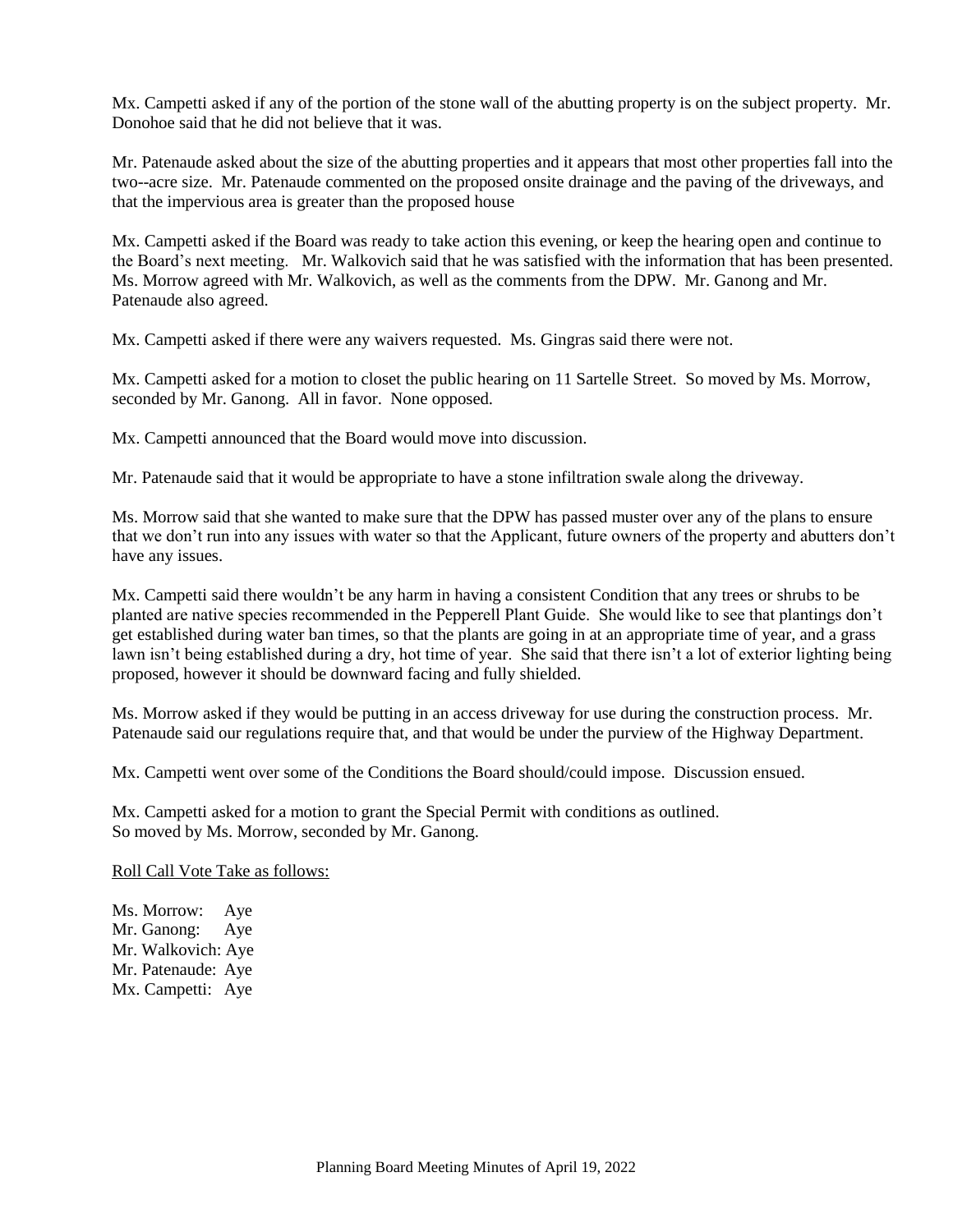Mx. Campetti asked if any of the portion of the stone wall of the abutting property is on the subject property. Mr. Donohoe said that he did not believe that it was.

Mr. Patenaude asked about the size of the abutting properties and it appears that most other properties fall into the two--acre size. Mr. Patenaude commented on the proposed onsite drainage and the paving of the driveways, and that the impervious area is greater than the proposed house

Mx. Campetti asked if the Board was ready to take action this evening, or keep the hearing open and continue to the Board's next meeting. Mr. Walkovich said that he was satisfied with the information that has been presented. Ms. Morrow agreed with Mr. Walkovich, as well as the comments from the DPW. Mr. Ganong and Mr. Patenaude also agreed.

Mx. Campetti asked if there were any waivers requested. Ms. Gingras said there were not.

Mx. Campetti asked for a motion to closet the public hearing on 11 Sartelle Street. So moved by Ms. Morrow, seconded by Mr. Ganong. All in favor. None opposed.

Mx. Campetti announced that the Board would move into discussion.

Mr. Patenaude said that it would be appropriate to have a stone infiltration swale along the driveway.

Ms. Morrow said that she wanted to make sure that the DPW has passed muster over any of the plans to ensure that we don't run into any issues with water so that the Applicant, future owners of the property and abutters don't have any issues.

Mx. Campetti said there wouldn't be any harm in having a consistent Condition that any trees or shrubs to be planted are native species recommended in the Pepperell Plant Guide. She would like to see that plantings don't get established during water ban times, so that the plants are going in at an appropriate time of year, and a grass lawn isn't being established during a dry, hot time of year. She said that there isn't a lot of exterior lighting being proposed, however it should be downward facing and fully shielded.

Ms. Morrow asked if they would be putting in an access driveway for use during the construction process. Mr. Patenaude said our regulations require that, and that would be under the purview of the Highway Department.

Mx. Campetti went over some of the Conditions the Board should/could impose. Discussion ensued.

Mx. Campetti asked for a motion to grant the Special Permit with conditions as outlined. So moved by Ms. Morrow, seconded by Mr. Ganong.

Roll Call Vote Take as follows:

Ms. Morrow: Aye Mr. Ganong: Aye Mr. Walkovich: Aye Mr. Patenaude: Aye Mx. Campetti: Aye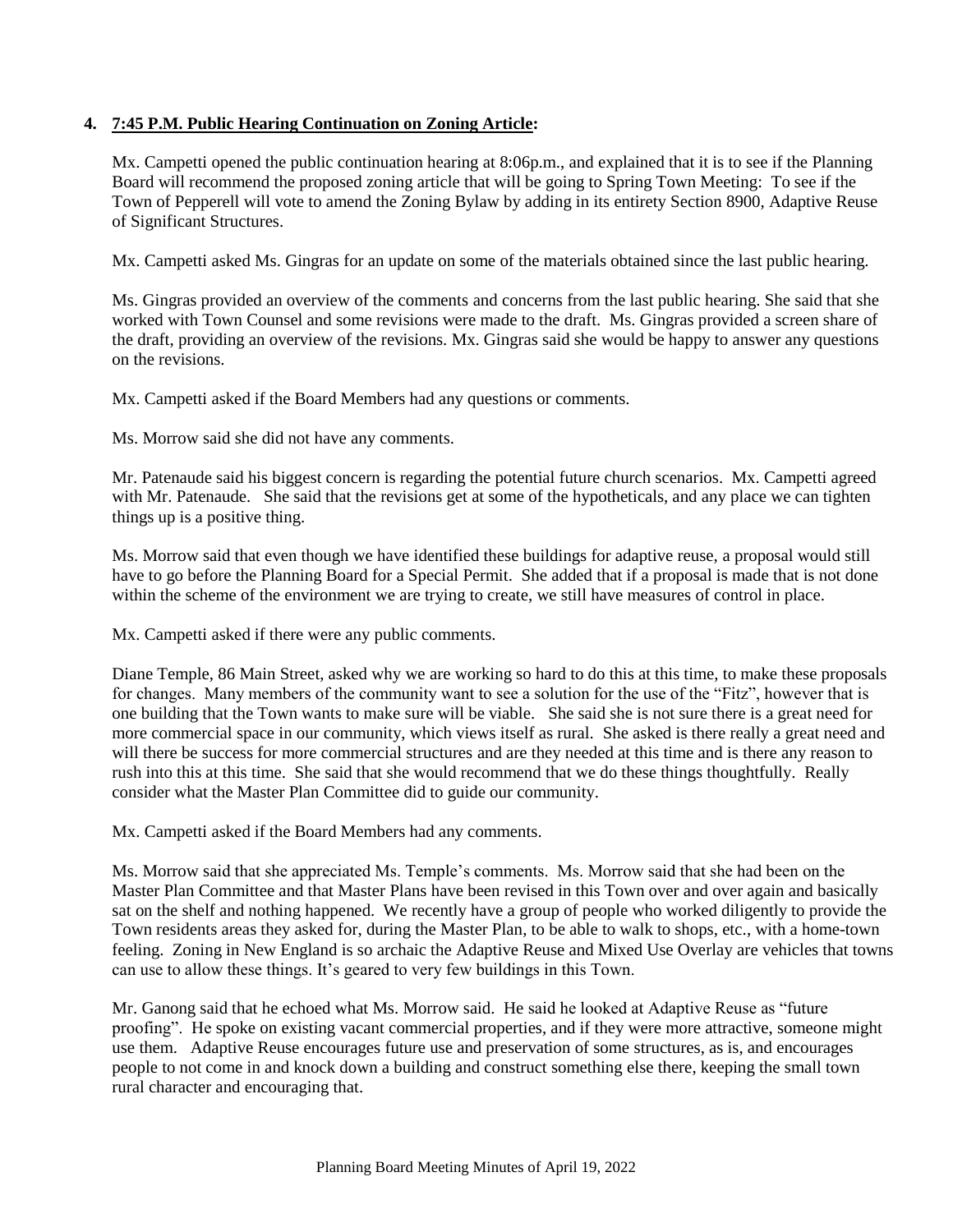## **4. 7:45 P.M. Public Hearing Continuation on Zoning Article:**

Mx. Campetti opened the public continuation hearing at 8:06p.m., and explained that it is to see if the Planning Board will recommend the proposed zoning article that will be going to Spring Town Meeting: To see if the Town of Pepperell will vote to amend the Zoning Bylaw by adding in its entirety Section 8900, Adaptive Reuse of Significant Structures.

Mx. Campetti asked Ms. Gingras for an update on some of the materials obtained since the last public hearing.

Ms. Gingras provided an overview of the comments and concerns from the last public hearing. She said that she worked with Town Counsel and some revisions were made to the draft. Ms. Gingras provided a screen share of the draft, providing an overview of the revisions. Mx. Gingras said she would be happy to answer any questions on the revisions.

Mx. Campetti asked if the Board Members had any questions or comments.

Ms. Morrow said she did not have any comments.

Mr. Patenaude said his biggest concern is regarding the potential future church scenarios. Mx. Campetti agreed with Mr. Patenaude. She said that the revisions get at some of the hypotheticals, and any place we can tighten things up is a positive thing.

Ms. Morrow said that even though we have identified these buildings for adaptive reuse, a proposal would still have to go before the Planning Board for a Special Permit. She added that if a proposal is made that is not done within the scheme of the environment we are trying to create, we still have measures of control in place.

Mx. Campetti asked if there were any public comments.

Diane Temple, 86 Main Street, asked why we are working so hard to do this at this time, to make these proposals for changes. Many members of the community want to see a solution for the use of the "Fitz", however that is one building that the Town wants to make sure will be viable. She said she is not sure there is a great need for more commercial space in our community, which views itself as rural. She asked is there really a great need and will there be success for more commercial structures and are they needed at this time and is there any reason to rush into this at this time. She said that she would recommend that we do these things thoughtfully. Really consider what the Master Plan Committee did to guide our community.

Mx. Campetti asked if the Board Members had any comments.

Ms. Morrow said that she appreciated Ms. Temple's comments. Ms. Morrow said that she had been on the Master Plan Committee and that Master Plans have been revised in this Town over and over again and basically sat on the shelf and nothing happened. We recently have a group of people who worked diligently to provide the Town residents areas they asked for, during the Master Plan, to be able to walk to shops, etc., with a home-town feeling. Zoning in New England is so archaic the Adaptive Reuse and Mixed Use Overlay are vehicles that towns can use to allow these things. It's geared to very few buildings in this Town.

Mr. Ganong said that he echoed what Ms. Morrow said. He said he looked at Adaptive Reuse as "future proofing". He spoke on existing vacant commercial properties, and if they were more attractive, someone might use them. Adaptive Reuse encourages future use and preservation of some structures, as is, and encourages people to not come in and knock down a building and construct something else there, keeping the small town rural character and encouraging that.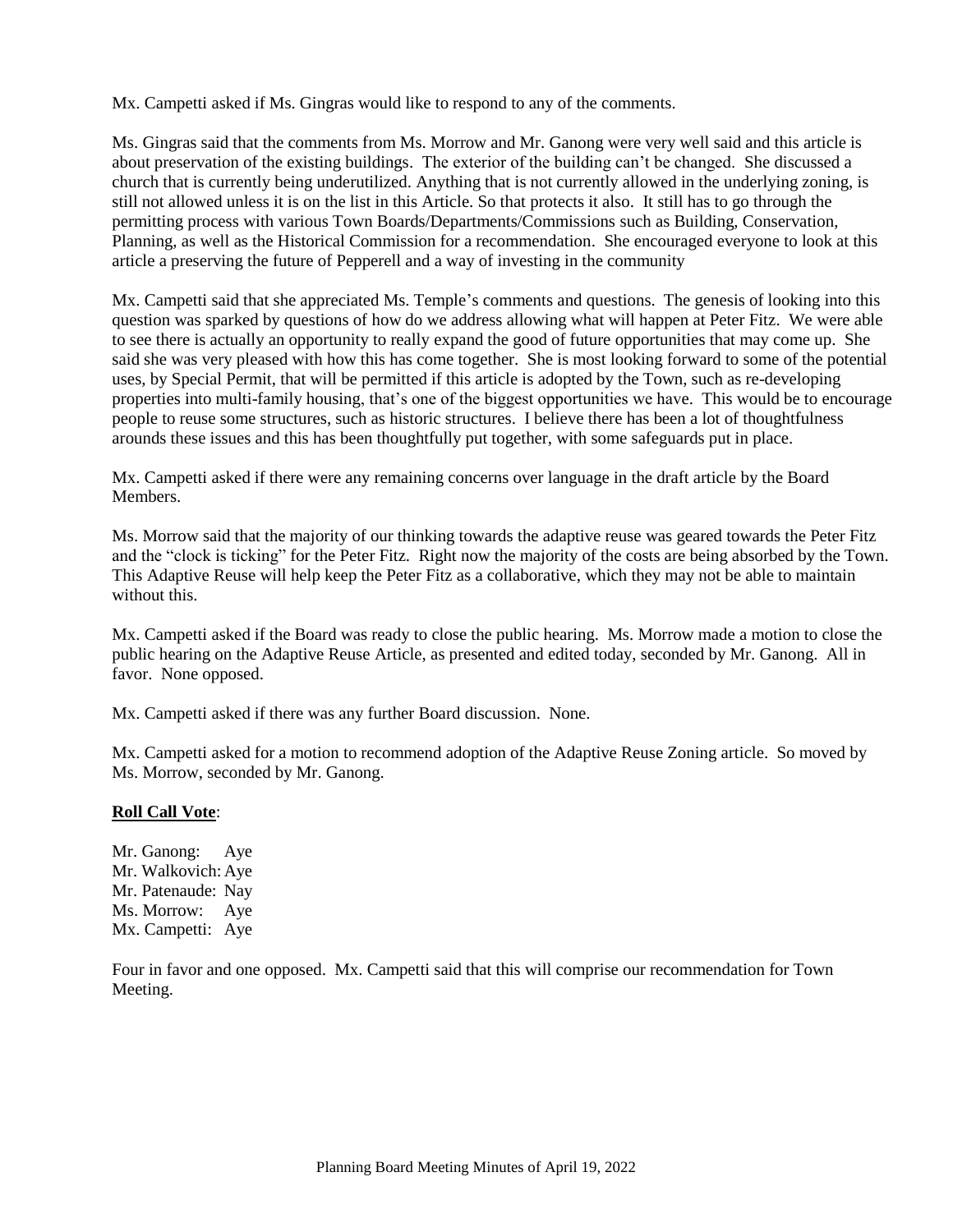Mx. Campetti asked if Ms. Gingras would like to respond to any of the comments.

Ms. Gingras said that the comments from Ms. Morrow and Mr. Ganong were very well said and this article is about preservation of the existing buildings. The exterior of the building can't be changed. She discussed a church that is currently being underutilized. Anything that is not currently allowed in the underlying zoning, is still not allowed unless it is on the list in this Article. So that protects it also. It still has to go through the permitting process with various Town Boards/Departments/Commissions such as Building, Conservation, Planning, as well as the Historical Commission for a recommendation. She encouraged everyone to look at this article a preserving the future of Pepperell and a way of investing in the community

Mx. Campetti said that she appreciated Ms. Temple's comments and questions. The genesis of looking into this question was sparked by questions of how do we address allowing what will happen at Peter Fitz. We were able to see there is actually an opportunity to really expand the good of future opportunities that may come up. She said she was very pleased with how this has come together. She is most looking forward to some of the potential uses, by Special Permit, that will be permitted if this article is adopted by the Town, such as re-developing properties into multi-family housing, that's one of the biggest opportunities we have. This would be to encourage people to reuse some structures, such as historic structures. I believe there has been a lot of thoughtfulness arounds these issues and this has been thoughtfully put together, with some safeguards put in place.

Mx. Campetti asked if there were any remaining concerns over language in the draft article by the Board Members.

Ms. Morrow said that the majority of our thinking towards the adaptive reuse was geared towards the Peter Fitz and the "clock is ticking" for the Peter Fitz. Right now the majority of the costs are being absorbed by the Town. This Adaptive Reuse will help keep the Peter Fitz as a collaborative, which they may not be able to maintain without this.

Mx. Campetti asked if the Board was ready to close the public hearing. Ms. Morrow made a motion to close the public hearing on the Adaptive Reuse Article, as presented and edited today, seconded by Mr. Ganong. All in favor. None opposed.

Mx. Campetti asked if there was any further Board discussion. None.

Mx. Campetti asked for a motion to recommend adoption of the Adaptive Reuse Zoning article. So moved by Ms. Morrow, seconded by Mr. Ganong.

#### **Roll Call Vote**:

Mr. Ganong: Aye Mr. Walkovich: Aye Mr. Patenaude: Nay Ms. Morrow: Aye Mx. Campetti: Aye

Four in favor and one opposed. Mx. Campetti said that this will comprise our recommendation for Town Meeting.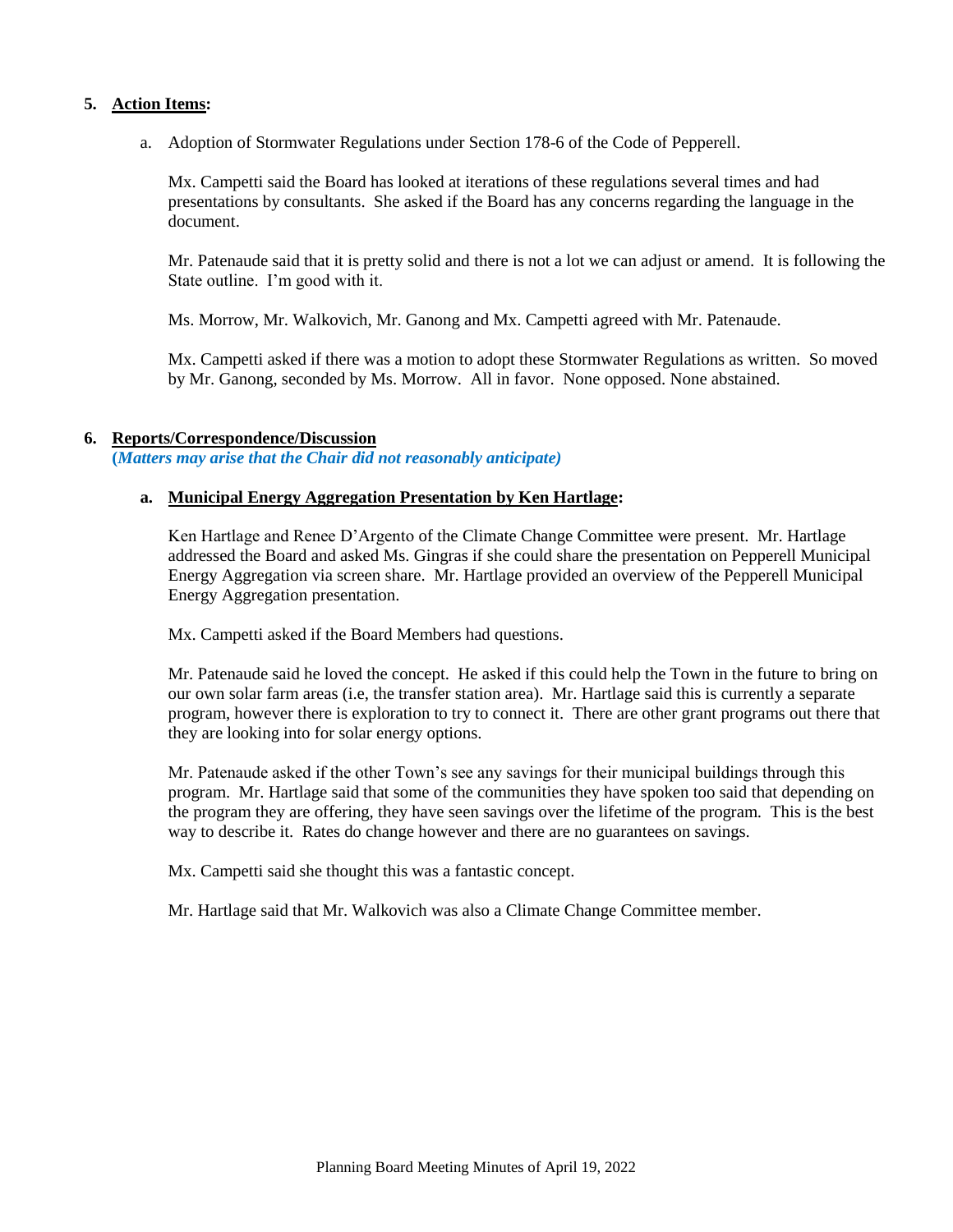#### **5. Action Items:**

a. Adoption of Stormwater Regulations under Section 178-6 of the Code of Pepperell.

Mx. Campetti said the Board has looked at iterations of these regulations several times and had presentations by consultants. She asked if the Board has any concerns regarding the language in the document.

Mr. Patenaude said that it is pretty solid and there is not a lot we can adjust or amend. It is following the State outline. I'm good with it.

Ms. Morrow, Mr. Walkovich, Mr. Ganong and Mx. Campetti agreed with Mr. Patenaude.

Mx. Campetti asked if there was a motion to adopt these Stormwater Regulations as written. So moved by Mr. Ganong, seconded by Ms. Morrow. All in favor. None opposed. None abstained.

#### **6. Reports/Correspondence/Discussion**

**(***Matters may arise that the Chair did not reasonably anticipate)*

#### **a. Municipal Energy Aggregation Presentation by Ken Hartlage:**

Ken Hartlage and Renee D'Argento of the Climate Change Committee were present. Mr. Hartlage addressed the Board and asked Ms. Gingras if she could share the presentation on Pepperell Municipal Energy Aggregation via screen share. Mr. Hartlage provided an overview of the Pepperell Municipal Energy Aggregation presentation.

Mx. Campetti asked if the Board Members had questions.

Mr. Patenaude said he loved the concept. He asked if this could help the Town in the future to bring on our own solar farm areas (i.e, the transfer station area). Mr. Hartlage said this is currently a separate program, however there is exploration to try to connect it. There are other grant programs out there that they are looking into for solar energy options.

Mr. Patenaude asked if the other Town's see any savings for their municipal buildings through this program. Mr. Hartlage said that some of the communities they have spoken too said that depending on the program they are offering, they have seen savings over the lifetime of the program. This is the best way to describe it. Rates do change however and there are no guarantees on savings.

Mx. Campetti said she thought this was a fantastic concept.

Mr. Hartlage said that Mr. Walkovich was also a Climate Change Committee member.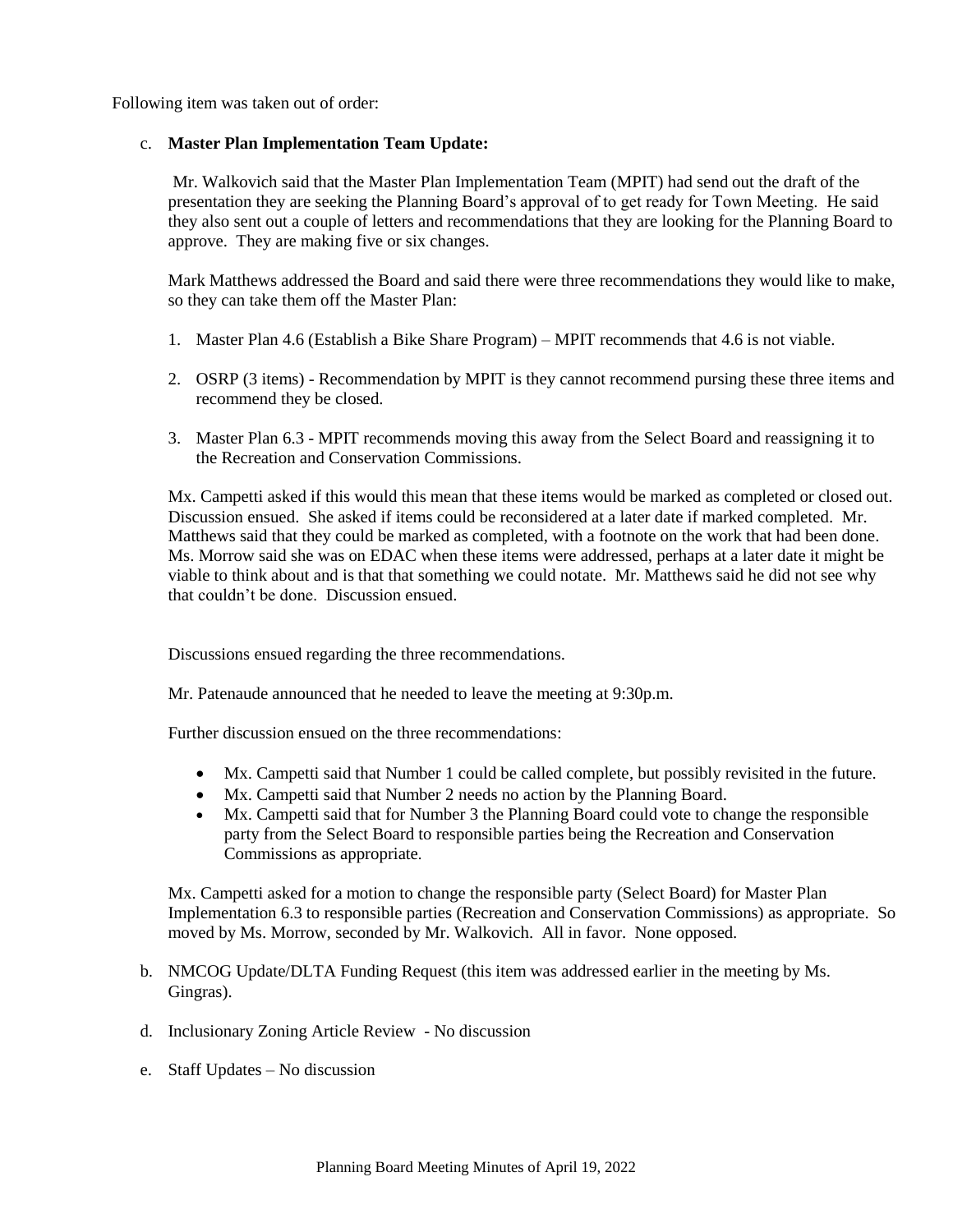Following item was taken out of order:

#### c. **Master Plan Implementation Team Update:**

Mr. Walkovich said that the Master Plan Implementation Team (MPIT) had send out the draft of the presentation they are seeking the Planning Board's approval of to get ready for Town Meeting. He said they also sent out a couple of letters and recommendations that they are looking for the Planning Board to approve. They are making five or six changes.

Mark Matthews addressed the Board and said there were three recommendations they would like to make, so they can take them off the Master Plan:

- 1. Master Plan 4.6 (Establish a Bike Share Program) MPIT recommends that 4.6 is not viable.
- 2. OSRP (3 items) Recommendation by MPIT is they cannot recommend pursing these three items and recommend they be closed.
- 3. Master Plan 6.3 MPIT recommends moving this away from the Select Board and reassigning it to the Recreation and Conservation Commissions.

Mx. Campetti asked if this would this mean that these items would be marked as completed or closed out. Discussion ensued. She asked if items could be reconsidered at a later date if marked completed. Mr. Matthews said that they could be marked as completed, with a footnote on the work that had been done. Ms. Morrow said she was on EDAC when these items were addressed, perhaps at a later date it might be viable to think about and is that that something we could notate. Mr. Matthews said he did not see why that couldn't be done. Discussion ensued.

Discussions ensued regarding the three recommendations.

Mr. Patenaude announced that he needed to leave the meeting at 9:30p.m.

Further discussion ensued on the three recommendations:

- Mx. Campetti said that Number 1 could be called complete, but possibly revisited in the future.
- Mx. Campetti said that Number 2 needs no action by the Planning Board.
- Mx. Campetti said that for Number 3 the Planning Board could vote to change the responsible party from the Select Board to responsible parties being the Recreation and Conservation Commissions as appropriate.

Mx. Campetti asked for a motion to change the responsible party (Select Board) for Master Plan Implementation 6.3 to responsible parties (Recreation and Conservation Commissions) as appropriate. So moved by Ms. Morrow, seconded by Mr. Walkovich. All in favor. None opposed.

- b. NMCOG Update/DLTA Funding Request (this item was addressed earlier in the meeting by Ms. Gingras).
- d. Inclusionary Zoning Article Review No discussion
- e. Staff Updates No discussion